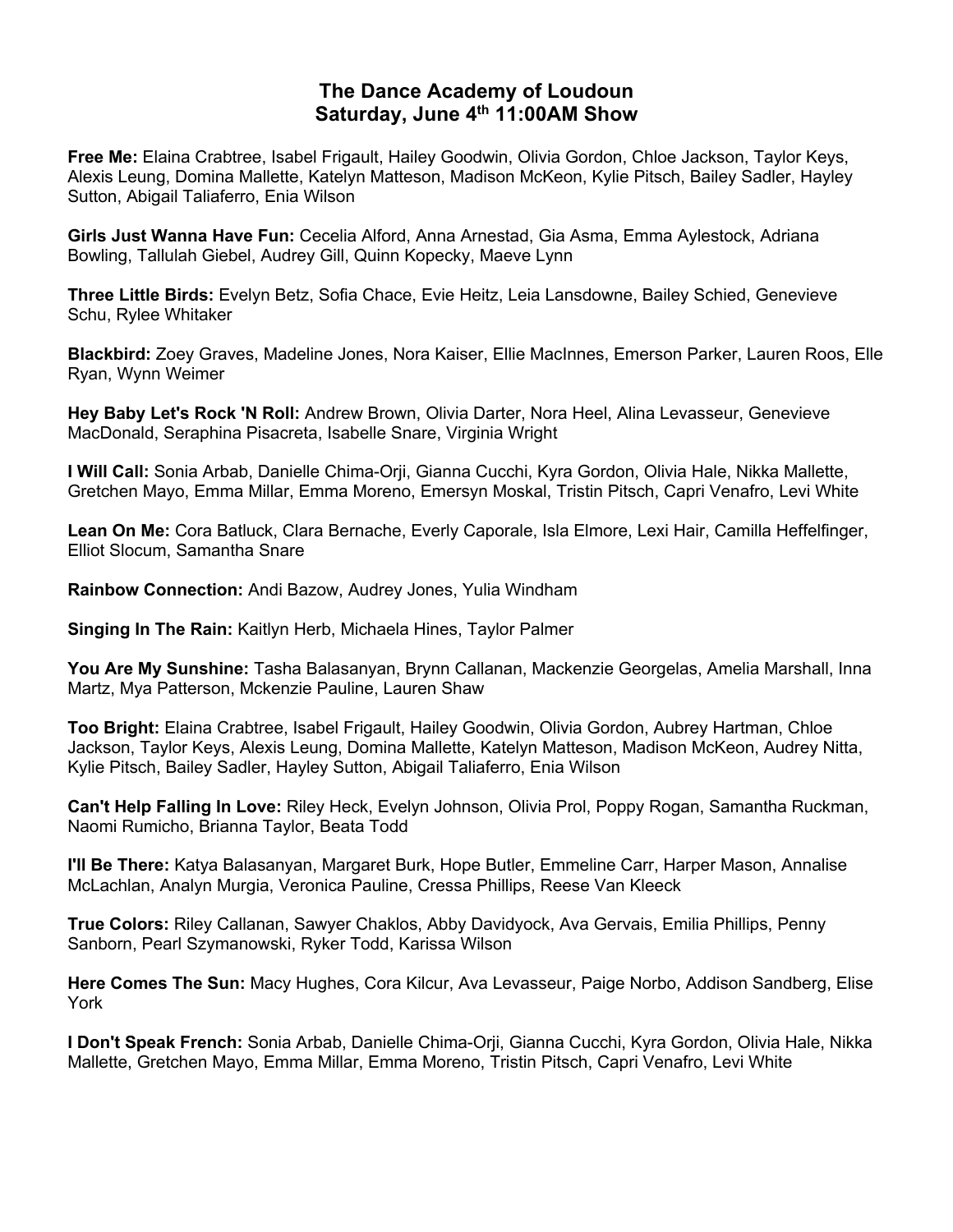## **The Dance Academy of Loudoun Saturday, June 4th 11:00AM Show**

**Free Me:** Elaina Crabtree, Isabel Frigault, Hailey Goodwin, Olivia Gordon, Chloe Jackson, Taylor Keys, Alexis Leung, Domina Mallette, Katelyn Matteson, Madison McKeon, Kylie Pitsch, Bailey Sadler, Hayley Sutton, Abigail Taliaferro, Enia Wilson

**Girls Just Wanna Have Fun:** Cecelia Alford, Anna Arnestad, Gia Asma, Emma Aylestock, Adriana Bowling, Tallulah Giebel, Audrey Gill, Quinn Kopecky, Maeve Lynn

**Three Little Birds:** Evelyn Betz, Sofia Chace, Evie Heitz, Leia Lansdowne, Bailey Schied, Genevieve Schu, Rylee Whitaker

**Blackbird:** Zoey Graves, Madeline Jones, Nora Kaiser, Ellie MacInnes, Emerson Parker, Lauren Roos, Elle Ryan, Wynn Weimer

**Hey Baby Let's Rock 'N Roll:** Andrew Brown, Olivia Darter, Nora Heel, Alina Levasseur, Genevieve MacDonald, Seraphina Pisacreta, Isabelle Snare, Virginia Wright

**I Will Call:** Sonia Arbab, Danielle Chima-Orji, Gianna Cucchi, Kyra Gordon, Olivia Hale, Nikka Mallette, Gretchen Mayo, Emma Millar, Emma Moreno, Emersyn Moskal, Tristin Pitsch, Capri Venafro, Levi White

**Lean On Me:** Cora Batluck, Clara Bernache, Everly Caporale, Isla Elmore, Lexi Hair, Camilla Heffelfinger, Elliot Slocum, Samantha Snare

**Rainbow Connection:** Andi Bazow, Audrey Jones, Yulia Windham

**Singing In The Rain:** Kaitlyn Herb, Michaela Hines, Taylor Palmer

**You Are My Sunshine:** Tasha Balasanyan, Brynn Callanan, Mackenzie Georgelas, Amelia Marshall, Inna Martz, Mya Patterson, Mckenzie Pauline, Lauren Shaw

**Too Bright:** Elaina Crabtree, Isabel Frigault, Hailey Goodwin, Olivia Gordon, Aubrey Hartman, Chloe Jackson, Taylor Keys, Alexis Leung, Domina Mallette, Katelyn Matteson, Madison McKeon, Audrey Nitta, Kylie Pitsch, Bailey Sadler, Hayley Sutton, Abigail Taliaferro, Enia Wilson

**Can't Help Falling In Love:** Riley Heck, Evelyn Johnson, Olivia Prol, Poppy Rogan, Samantha Ruckman, Naomi Rumicho, Brianna Taylor, Beata Todd

**I'll Be There:** Katya Balasanyan, Margaret Burk, Hope Butler, Emmeline Carr, Harper Mason, Annalise McLachlan, Analyn Murgia, Veronica Pauline, Cressa Phillips, Reese Van Kleeck

**True Colors:** Riley Callanan, Sawyer Chaklos, Abby Davidyock, Ava Gervais, Emilia Phillips, Penny Sanborn, Pearl Szymanowski, Ryker Todd, Karissa Wilson

**Here Comes The Sun:** Macy Hughes, Cora Kilcur, Ava Levasseur, Paige Norbo, Addison Sandberg, Elise York

**I Don't Speak French:** Sonia Arbab, Danielle Chima-Orji, Gianna Cucchi, Kyra Gordon, Olivia Hale, Nikka Mallette, Gretchen Mayo, Emma Millar, Emma Moreno, Tristin Pitsch, Capri Venafro, Levi White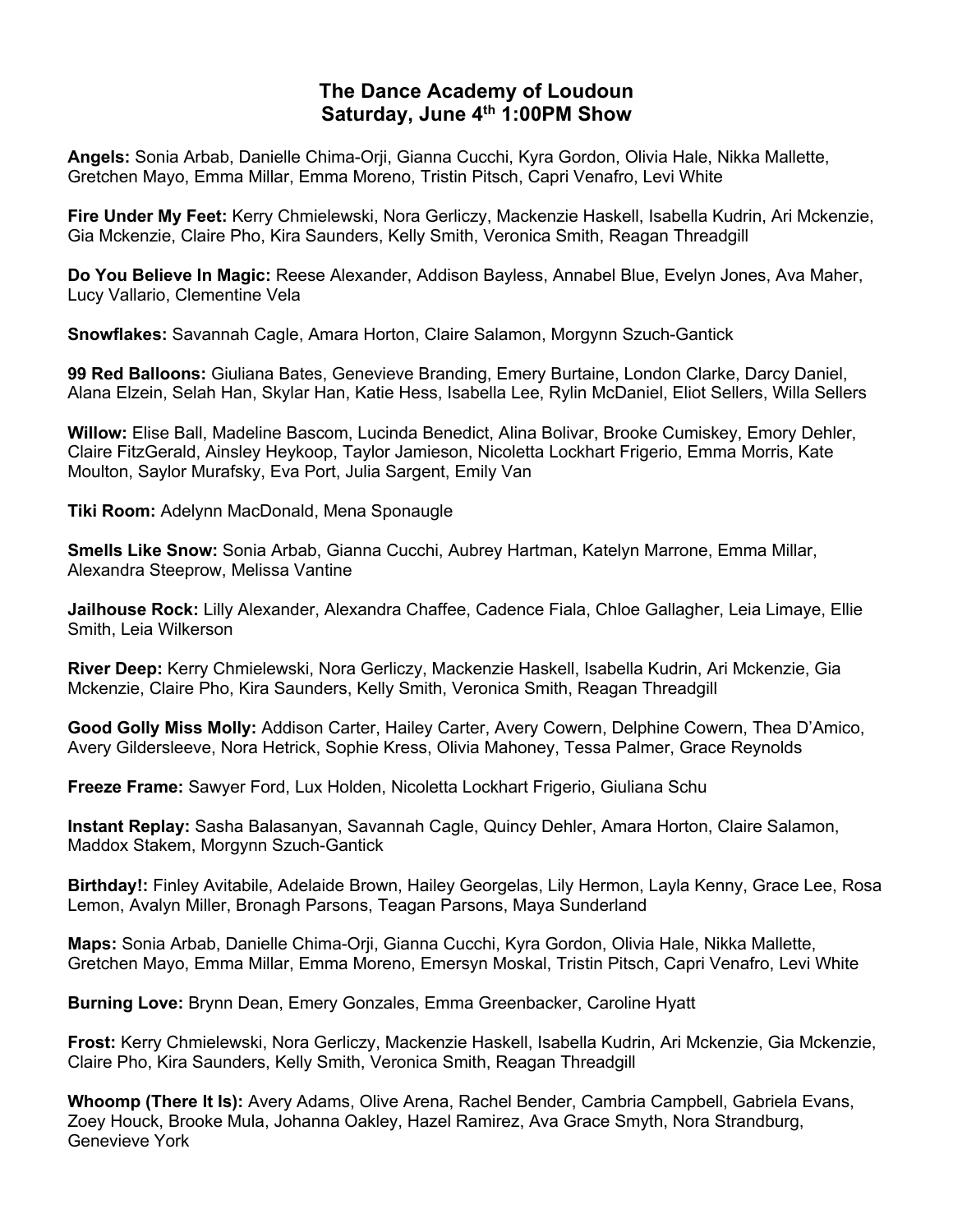## **The Dance Academy of Loudoun Saturday, June 4th 1:00PM Show**

**Angels:** Sonia Arbab, Danielle Chima-Orji, Gianna Cucchi, Kyra Gordon, Olivia Hale, Nikka Mallette, Gretchen Mayo, Emma Millar, Emma Moreno, Tristin Pitsch, Capri Venafro, Levi White

**Fire Under My Feet:** Kerry Chmielewski, Nora Gerliczy, Mackenzie Haskell, Isabella Kudrin, Ari Mckenzie, Gia Mckenzie, Claire Pho, Kira Saunders, Kelly Smith, Veronica Smith, Reagan Threadgill

**Do You Believe In Magic:** Reese Alexander, Addison Bayless, Annabel Blue, Evelyn Jones, Ava Maher, Lucy Vallario, Clementine Vela

**Snowflakes:** Savannah Cagle, Amara Horton, Claire Salamon, Morgynn Szuch-Gantick

**99 Red Balloons:** Giuliana Bates, Genevieve Branding, Emery Burtaine, London Clarke, Darcy Daniel, Alana Elzein, Selah Han, Skylar Han, Katie Hess, Isabella Lee, Rylin McDaniel, Eliot Sellers, Willa Sellers

**Willow:** Elise Ball, Madeline Bascom, Lucinda Benedict, Alina Bolivar, Brooke Cumiskey, Emory Dehler, Claire FitzGerald, Ainsley Heykoop, Taylor Jamieson, Nicoletta Lockhart Frigerio, Emma Morris, Kate Moulton, Saylor Murafsky, Eva Port, Julia Sargent, Emily Van

**Tiki Room:** Adelynn MacDonald, Mena Sponaugle

**Smells Like Snow:** Sonia Arbab, Gianna Cucchi, Aubrey Hartman, Katelyn Marrone, Emma Millar, Alexandra Steeprow, Melissa Vantine

**Jailhouse Rock:** Lilly Alexander, Alexandra Chaffee, Cadence Fiala, Chloe Gallagher, Leia Limaye, Ellie Smith, Leia Wilkerson

**River Deep:** Kerry Chmielewski, Nora Gerliczy, Mackenzie Haskell, Isabella Kudrin, Ari Mckenzie, Gia Mckenzie, Claire Pho, Kira Saunders, Kelly Smith, Veronica Smith, Reagan Threadgill

**Good Golly Miss Molly:** Addison Carter, Hailey Carter, Avery Cowern, Delphine Cowern, Thea D'Amico, Avery Gildersleeve, Nora Hetrick, Sophie Kress, Olivia Mahoney, Tessa Palmer, Grace Reynolds

**Freeze Frame:** Sawyer Ford, Lux Holden, Nicoletta Lockhart Frigerio, Giuliana Schu

**Instant Replay:** Sasha Balasanyan, Savannah Cagle, Quincy Dehler, Amara Horton, Claire Salamon, Maddox Stakem, Morgynn Szuch-Gantick

**Birthday!:** Finley Avitabile, Adelaide Brown, Hailey Georgelas, Lily Hermon, Layla Kenny, Grace Lee, Rosa Lemon, Avalyn Miller, Bronagh Parsons, Teagan Parsons, Maya Sunderland

**Maps:** Sonia Arbab, Danielle Chima-Orji, Gianna Cucchi, Kyra Gordon, Olivia Hale, Nikka Mallette, Gretchen Mayo, Emma Millar, Emma Moreno, Emersyn Moskal, Tristin Pitsch, Capri Venafro, Levi White

**Burning Love:** Brynn Dean, Emery Gonzales, Emma Greenbacker, Caroline Hyatt

**Frost:** Kerry Chmielewski, Nora Gerliczy, Mackenzie Haskell, Isabella Kudrin, Ari Mckenzie, Gia Mckenzie, Claire Pho, Kira Saunders, Kelly Smith, Veronica Smith, Reagan Threadgill

**Whoomp (There It Is):** Avery Adams, Olive Arena, Rachel Bender, Cambria Campbell, Gabriela Evans, Zoey Houck, Brooke Mula, Johanna Oakley, Hazel Ramirez, Ava Grace Smyth, Nora Strandburg, Genevieve York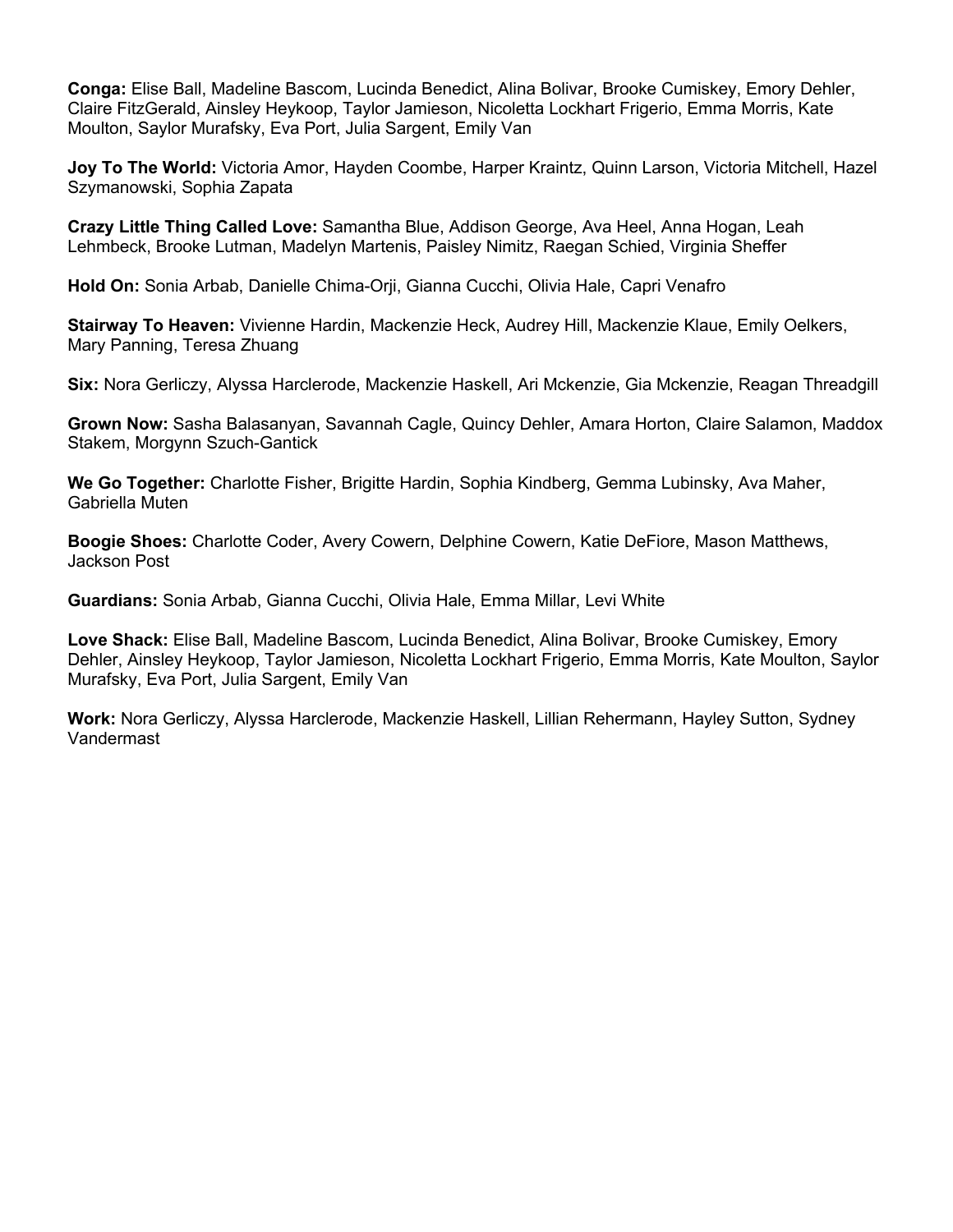**Conga:** Elise Ball, Madeline Bascom, Lucinda Benedict, Alina Bolivar, Brooke Cumiskey, Emory Dehler, Claire FitzGerald, Ainsley Heykoop, Taylor Jamieson, Nicoletta Lockhart Frigerio, Emma Morris, Kate Moulton, Saylor Murafsky, Eva Port, Julia Sargent, Emily Van

**Joy To The World:** Victoria Amor, Hayden Coombe, Harper Kraintz, Quinn Larson, Victoria Mitchell, Hazel Szymanowski, Sophia Zapata

**Crazy Little Thing Called Love:** Samantha Blue, Addison George, Ava Heel, Anna Hogan, Leah Lehmbeck, Brooke Lutman, Madelyn Martenis, Paisley Nimitz, Raegan Schied, Virginia Sheffer

**Hold On:** Sonia Arbab, Danielle Chima-Orji, Gianna Cucchi, Olivia Hale, Capri Venafro

**Stairway To Heaven:** Vivienne Hardin, Mackenzie Heck, Audrey Hill, Mackenzie Klaue, Emily Oelkers, Mary Panning, Teresa Zhuang

**Six:** Nora Gerliczy, Alyssa Harclerode, Mackenzie Haskell, Ari Mckenzie, Gia Mckenzie, Reagan Threadgill

**Grown Now:** Sasha Balasanyan, Savannah Cagle, Quincy Dehler, Amara Horton, Claire Salamon, Maddox Stakem, Morgynn Szuch-Gantick

**We Go Together:** Charlotte Fisher, Brigitte Hardin, Sophia Kindberg, Gemma Lubinsky, Ava Maher, Gabriella Muten

**Boogie Shoes:** Charlotte Coder, Avery Cowern, Delphine Cowern, Katie DeFiore, Mason Matthews, Jackson Post

**Guardians:** Sonia Arbab, Gianna Cucchi, Olivia Hale, Emma Millar, Levi White

**Love Shack:** Elise Ball, Madeline Bascom, Lucinda Benedict, Alina Bolivar, Brooke Cumiskey, Emory Dehler, Ainsley Heykoop, Taylor Jamieson, Nicoletta Lockhart Frigerio, Emma Morris, Kate Moulton, Saylor Murafsky, Eva Port, Julia Sargent, Emily Van

**Work:** Nora Gerliczy, Alyssa Harclerode, Mackenzie Haskell, Lillian Rehermann, Hayley Sutton, Sydney Vandermast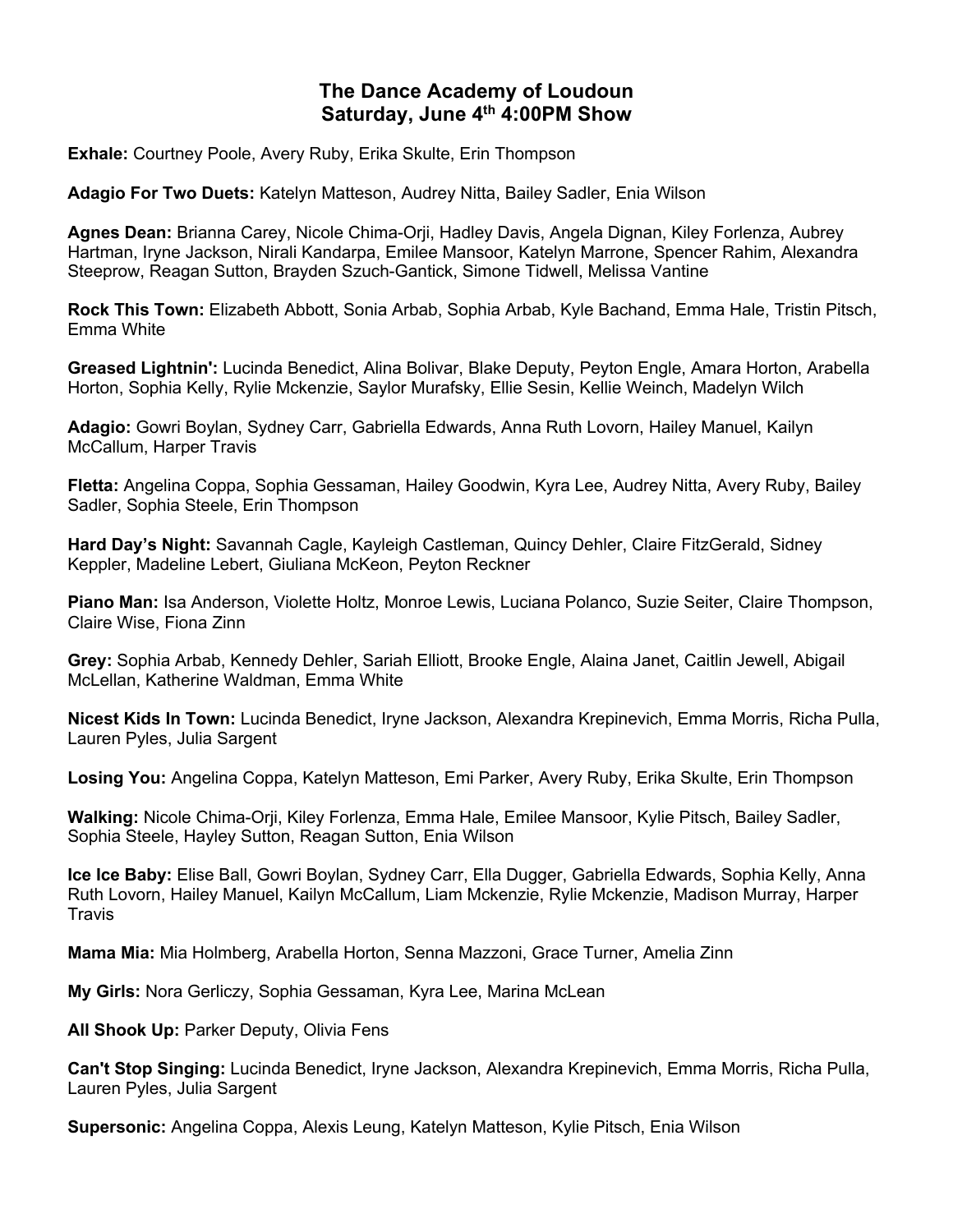# **The Dance Academy of Loudoun Saturday, June 4th 4:00PM Show**

**Exhale:** Courtney Poole, Avery Ruby, Erika Skulte, Erin Thompson

**Adagio For Two Duets:** Katelyn Matteson, Audrey Nitta, Bailey Sadler, Enia Wilson

**Agnes Dean:** Brianna Carey, Nicole Chima-Orji, Hadley Davis, Angela Dignan, Kiley Forlenza, Aubrey Hartman, Iryne Jackson, Nirali Kandarpa, Emilee Mansoor, Katelyn Marrone, Spencer Rahim, Alexandra Steeprow, Reagan Sutton, Brayden Szuch-Gantick, Simone Tidwell, Melissa Vantine

**Rock This Town:** Elizabeth Abbott, Sonia Arbab, Sophia Arbab, Kyle Bachand, Emma Hale, Tristin Pitsch, Emma White

**Greased Lightnin':** Lucinda Benedict, Alina Bolivar, Blake Deputy, Peyton Engle, Amara Horton, Arabella Horton, Sophia Kelly, Rylie Mckenzie, Saylor Murafsky, Ellie Sesin, Kellie Weinch, Madelyn Wilch

**Adagio:** Gowri Boylan, Sydney Carr, Gabriella Edwards, Anna Ruth Lovorn, Hailey Manuel, Kailyn McCallum, Harper Travis

**Fletta:** Angelina Coppa, Sophia Gessaman, Hailey Goodwin, Kyra Lee, Audrey Nitta, Avery Ruby, Bailey Sadler, Sophia Steele, Erin Thompson

**Hard Day's Night:** Savannah Cagle, Kayleigh Castleman, Quincy Dehler, Claire FitzGerald, Sidney Keppler, Madeline Lebert, Giuliana McKeon, Peyton Reckner

**Piano Man:** Isa Anderson, Violette Holtz, Monroe Lewis, Luciana Polanco, Suzie Seiter, Claire Thompson, Claire Wise, Fiona Zinn

**Grey:** Sophia Arbab, Kennedy Dehler, Sariah Elliott, Brooke Engle, Alaina Janet, Caitlin Jewell, Abigail McLellan, Katherine Waldman, Emma White

**Nicest Kids In Town:** Lucinda Benedict, Iryne Jackson, Alexandra Krepinevich, Emma Morris, Richa Pulla, Lauren Pyles, Julia Sargent

**Losing You:** Angelina Coppa, Katelyn Matteson, Emi Parker, Avery Ruby, Erika Skulte, Erin Thompson

**Walking:** Nicole Chima-Orji, Kiley Forlenza, Emma Hale, Emilee Mansoor, Kylie Pitsch, Bailey Sadler, Sophia Steele, Hayley Sutton, Reagan Sutton, Enia Wilson

**Ice Ice Baby:** Elise Ball, Gowri Boylan, Sydney Carr, Ella Dugger, Gabriella Edwards, Sophia Kelly, Anna Ruth Lovorn, Hailey Manuel, Kailyn McCallum, Liam Mckenzie, Rylie Mckenzie, Madison Murray, Harper **Travis** 

**Mama Mia:** Mia Holmberg, Arabella Horton, Senna Mazzoni, Grace Turner, Amelia Zinn

**My Girls:** Nora Gerliczy, Sophia Gessaman, Kyra Lee, Marina McLean

**All Shook Up:** Parker Deputy, Olivia Fens

**Can't Stop Singing:** Lucinda Benedict, Iryne Jackson, Alexandra Krepinevich, Emma Morris, Richa Pulla, Lauren Pyles, Julia Sargent

**Supersonic:** Angelina Coppa, Alexis Leung, Katelyn Matteson, Kylie Pitsch, Enia Wilson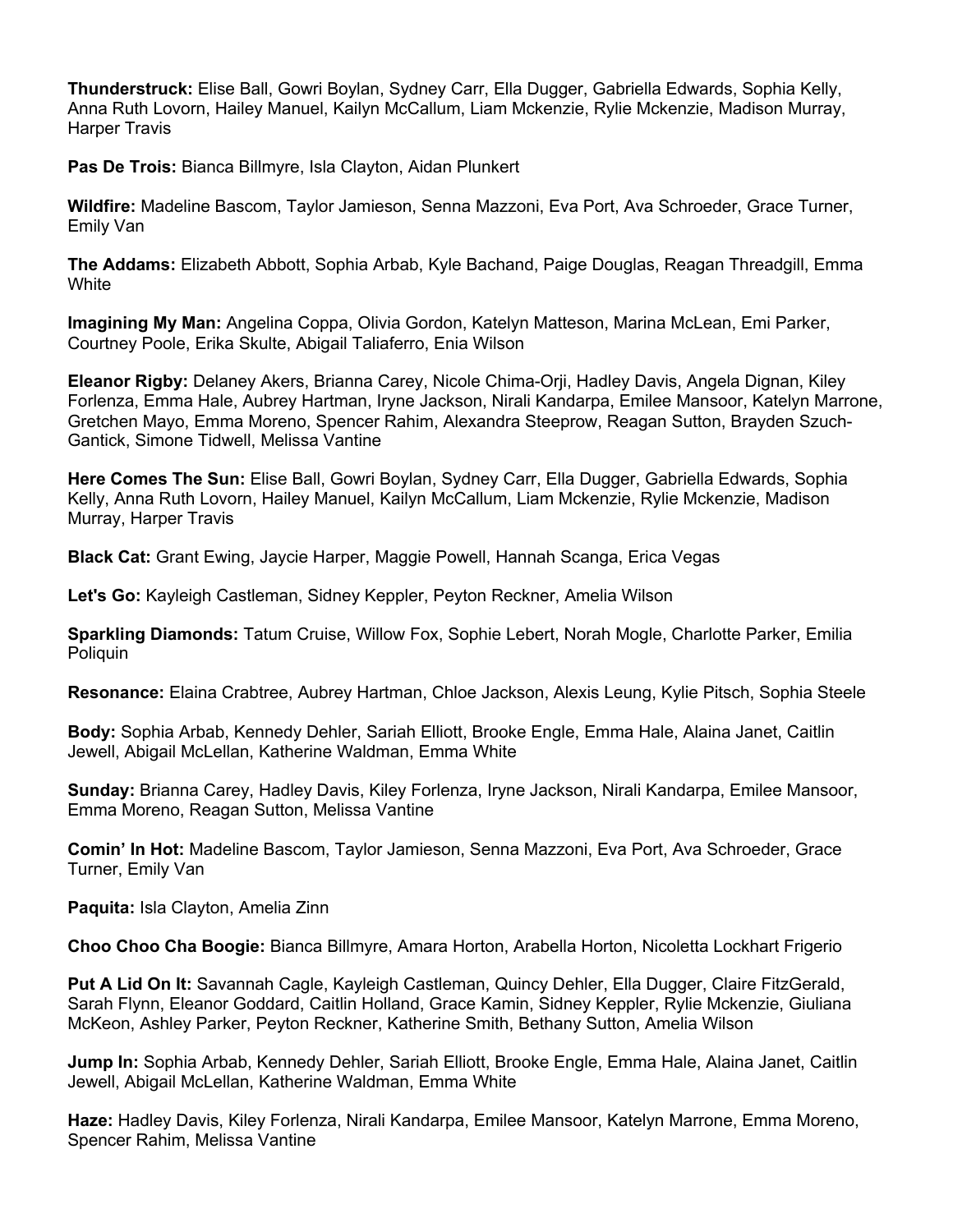**Thunderstruck:** Elise Ball, Gowri Boylan, Sydney Carr, Ella Dugger, Gabriella Edwards, Sophia Kelly, Anna Ruth Lovorn, Hailey Manuel, Kailyn McCallum, Liam Mckenzie, Rylie Mckenzie, Madison Murray, Harper Travis

**Pas De Trois:** Bianca Billmyre, Isla Clayton, Aidan Plunkert

**Wildfire:** Madeline Bascom, Taylor Jamieson, Senna Mazzoni, Eva Port, Ava Schroeder, Grace Turner, Emily Van

**The Addams:** Elizabeth Abbott, Sophia Arbab, Kyle Bachand, Paige Douglas, Reagan Threadgill, Emma **White** 

**Imagining My Man:** Angelina Coppa, Olivia Gordon, Katelyn Matteson, Marina McLean, Emi Parker, Courtney Poole, Erika Skulte, Abigail Taliaferro, Enia Wilson

**Eleanor Rigby:** Delaney Akers, Brianna Carey, Nicole Chima-Orji, Hadley Davis, Angela Dignan, Kiley Forlenza, Emma Hale, Aubrey Hartman, Iryne Jackson, Nirali Kandarpa, Emilee Mansoor, Katelyn Marrone, Gretchen Mayo, Emma Moreno, Spencer Rahim, Alexandra Steeprow, Reagan Sutton, Brayden Szuch-Gantick, Simone Tidwell, Melissa Vantine

**Here Comes The Sun:** Elise Ball, Gowri Boylan, Sydney Carr, Ella Dugger, Gabriella Edwards, Sophia Kelly, Anna Ruth Lovorn, Hailey Manuel, Kailyn McCallum, Liam Mckenzie, Rylie Mckenzie, Madison Murray, Harper Travis

**Black Cat:** Grant Ewing, Jaycie Harper, Maggie Powell, Hannah Scanga, Erica Vegas

**Let's Go:** Kayleigh Castleman, Sidney Keppler, Peyton Reckner, Amelia Wilson

**Sparkling Diamonds:** Tatum Cruise, Willow Fox, Sophie Lebert, Norah Mogle, Charlotte Parker, Emilia Poliquin

**Resonance:** Elaina Crabtree, Aubrey Hartman, Chloe Jackson, Alexis Leung, Kylie Pitsch, Sophia Steele

**Body:** Sophia Arbab, Kennedy Dehler, Sariah Elliott, Brooke Engle, Emma Hale, Alaina Janet, Caitlin Jewell, Abigail McLellan, Katherine Waldman, Emma White

**Sunday:** Brianna Carey, Hadley Davis, Kiley Forlenza, Iryne Jackson, Nirali Kandarpa, Emilee Mansoor, Emma Moreno, Reagan Sutton, Melissa Vantine

**Comin' In Hot:** Madeline Bascom, Taylor Jamieson, Senna Mazzoni, Eva Port, Ava Schroeder, Grace Turner, Emily Van

**Paquita:** Isla Clayton, Amelia Zinn

**Choo Choo Cha Boogie:** Bianca Billmyre, Amara Horton, Arabella Horton, Nicoletta Lockhart Frigerio

**Put A Lid On It:** Savannah Cagle, Kayleigh Castleman, Quincy Dehler, Ella Dugger, Claire FitzGerald, Sarah Flynn, Eleanor Goddard, Caitlin Holland, Grace Kamin, Sidney Keppler, Rylie Mckenzie, Giuliana McKeon, Ashley Parker, Peyton Reckner, Katherine Smith, Bethany Sutton, Amelia Wilson

**Jump In:** Sophia Arbab, Kennedy Dehler, Sariah Elliott, Brooke Engle, Emma Hale, Alaina Janet, Caitlin Jewell, Abigail McLellan, Katherine Waldman, Emma White

**Haze:** Hadley Davis, Kiley Forlenza, Nirali Kandarpa, Emilee Mansoor, Katelyn Marrone, Emma Moreno, Spencer Rahim, Melissa Vantine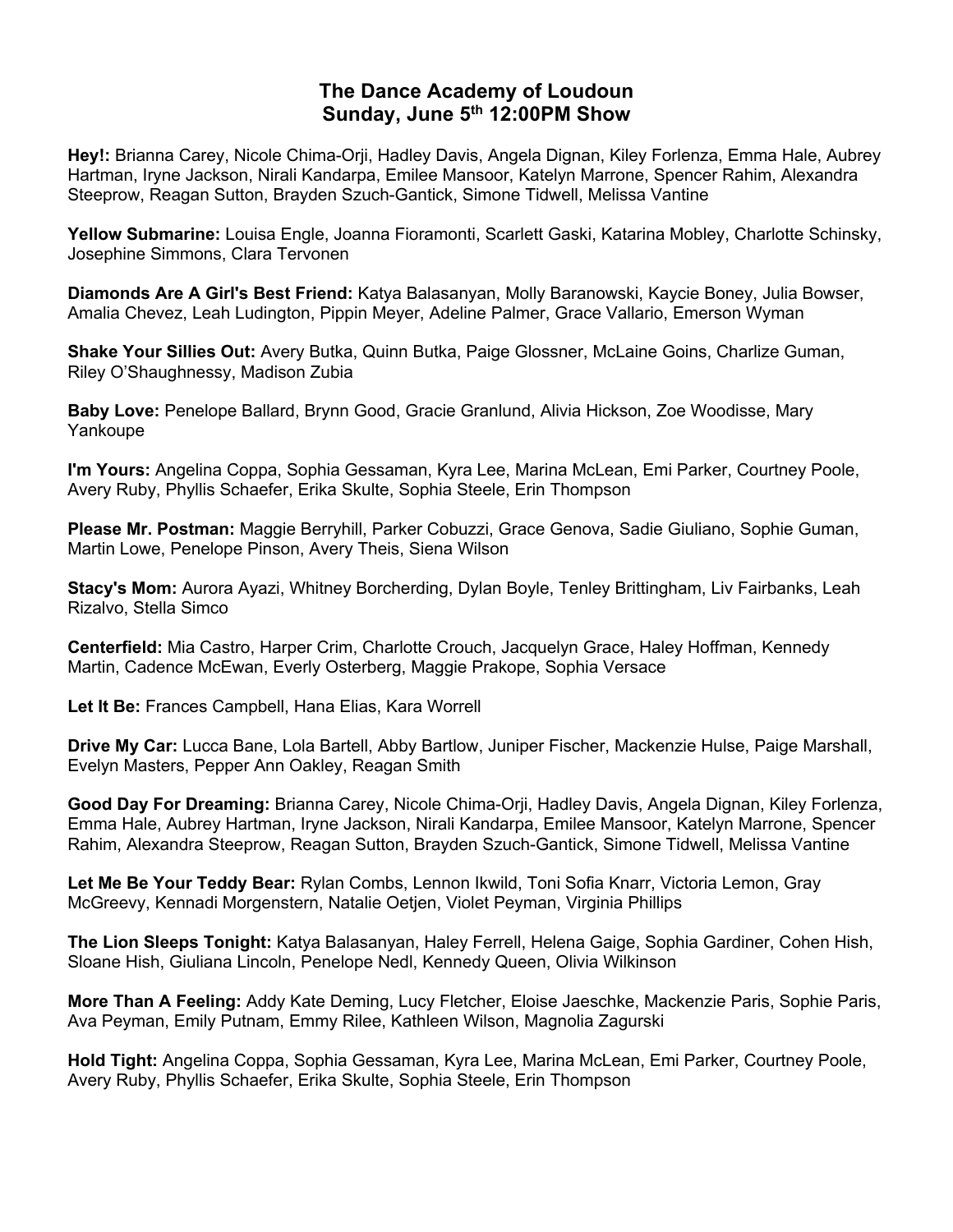## **The Dance Academy of Loudoun Sunday, June 5th 12:00PM Show**

**Hey!:** Brianna Carey, Nicole Chima-Orji, Hadley Davis, Angela Dignan, Kiley Forlenza, Emma Hale, Aubrey Hartman, Iryne Jackson, Nirali Kandarpa, Emilee Mansoor, Katelyn Marrone, Spencer Rahim, Alexandra Steeprow, Reagan Sutton, Brayden Szuch-Gantick, Simone Tidwell, Melissa Vantine

**Yellow Submarine:** Louisa Engle, Joanna Fioramonti, Scarlett Gaski, Katarina Mobley, Charlotte Schinsky, Josephine Simmons, Clara Tervonen

**Diamonds Are A Girl's Best Friend:** Katya Balasanyan, Molly Baranowski, Kaycie Boney, Julia Bowser, Amalia Chevez, Leah Ludington, Pippin Meyer, Adeline Palmer, Grace Vallario, Emerson Wyman

**Shake Your Sillies Out:** Avery Butka, Quinn Butka, Paige Glossner, McLaine Goins, Charlize Guman, Riley O'Shaughnessy, Madison Zubia

**Baby Love:** Penelope Ballard, Brynn Good, Gracie Granlund, Alivia Hickson, Zoe Woodisse, Mary Yankoupe

**I'm Yours:** Angelina Coppa, Sophia Gessaman, Kyra Lee, Marina McLean, Emi Parker, Courtney Poole, Avery Ruby, Phyllis Schaefer, Erika Skulte, Sophia Steele, Erin Thompson

**Please Mr. Postman:** Maggie Berryhill, Parker Cobuzzi, Grace Genova, Sadie Giuliano, Sophie Guman, Martin Lowe, Penelope Pinson, Avery Theis, Siena Wilson

**Stacy's Mom:** Aurora Ayazi, Whitney Borcherding, Dylan Boyle, Tenley Brittingham, Liv Fairbanks, Leah Rizalvo, Stella Simco

**Centerfield:** Mia Castro, Harper Crim, Charlotte Crouch, Jacquelyn Grace, Haley Hoffman, Kennedy Martin, Cadence McEwan, Everly Osterberg, Maggie Prakope, Sophia Versace

**Let It Be:** Frances Campbell, Hana Elias, Kara Worrell

**Drive My Car:** Lucca Bane, Lola Bartell, Abby Bartlow, Juniper Fischer, Mackenzie Hulse, Paige Marshall, Evelyn Masters, Pepper Ann Oakley, Reagan Smith

**Good Day For Dreaming:** Brianna Carey, Nicole Chima-Orji, Hadley Davis, Angela Dignan, Kiley Forlenza, Emma Hale, Aubrey Hartman, Iryne Jackson, Nirali Kandarpa, Emilee Mansoor, Katelyn Marrone, Spencer Rahim, Alexandra Steeprow, Reagan Sutton, Brayden Szuch-Gantick, Simone Tidwell, Melissa Vantine

**Let Me Be Your Teddy Bear:** Rylan Combs, Lennon Ikwild, Toni Sofia Knarr, Victoria Lemon, Gray McGreevy, Kennadi Morgenstern, Natalie Oetjen, Violet Peyman, Virginia Phillips

**The Lion Sleeps Tonight:** Katya Balasanyan, Haley Ferrell, Helena Gaige, Sophia Gardiner, Cohen Hish, Sloane Hish, Giuliana Lincoln, Penelope Nedl, Kennedy Queen, Olivia Wilkinson

**More Than A Feeling:** Addy Kate Deming, Lucy Fletcher, Eloise Jaeschke, Mackenzie Paris, Sophie Paris, Ava Peyman, Emily Putnam, Emmy Rilee, Kathleen Wilson, Magnolia Zagurski

**Hold Tight:** Angelina Coppa, Sophia Gessaman, Kyra Lee, Marina McLean, Emi Parker, Courtney Poole, Avery Ruby, Phyllis Schaefer, Erika Skulte, Sophia Steele, Erin Thompson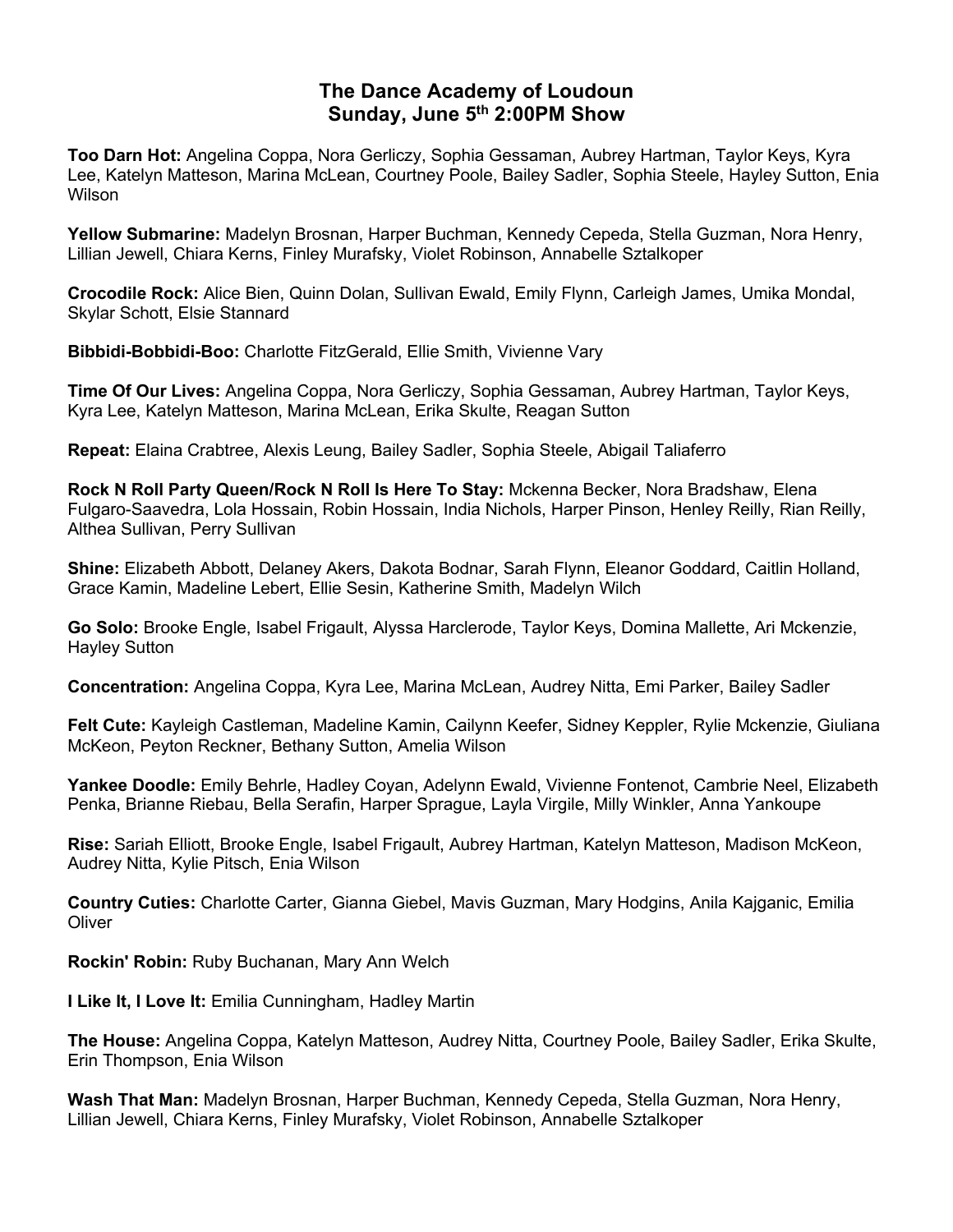## **The Dance Academy of Loudoun Sunday, June 5th 2:00PM Show**

**Too Darn Hot:** Angelina Coppa, Nora Gerliczy, Sophia Gessaman, Aubrey Hartman, Taylor Keys, Kyra Lee, Katelyn Matteson, Marina McLean, Courtney Poole, Bailey Sadler, Sophia Steele, Hayley Sutton, Enia Wilson

**Yellow Submarine:** Madelyn Brosnan, Harper Buchman, Kennedy Cepeda, Stella Guzman, Nora Henry, Lillian Jewell, Chiara Kerns, Finley Murafsky, Violet Robinson, Annabelle Sztalkoper

**Crocodile Rock:** Alice Bien, Quinn Dolan, Sullivan Ewald, Emily Flynn, Carleigh James, Umika Mondal, Skylar Schott, Elsie Stannard

**Bibbidi-Bobbidi-Boo:** Charlotte FitzGerald, Ellie Smith, Vivienne Vary

**Time Of Our Lives:** Angelina Coppa, Nora Gerliczy, Sophia Gessaman, Aubrey Hartman, Taylor Keys, Kyra Lee, Katelyn Matteson, Marina McLean, Erika Skulte, Reagan Sutton

**Repeat:** Elaina Crabtree, Alexis Leung, Bailey Sadler, Sophia Steele, Abigail Taliaferro

**Rock N Roll Party Queen/Rock N Roll Is Here To Stay:** Mckenna Becker, Nora Bradshaw, Elena Fulgaro-Saavedra, Lola Hossain, Robin Hossain, India Nichols, Harper Pinson, Henley Reilly, Rian Reilly, Althea Sullivan, Perry Sullivan

**Shine:** Elizabeth Abbott, Delaney Akers, Dakota Bodnar, Sarah Flynn, Eleanor Goddard, Caitlin Holland, Grace Kamin, Madeline Lebert, Ellie Sesin, Katherine Smith, Madelyn Wilch

**Go Solo:** Brooke Engle, Isabel Frigault, Alyssa Harclerode, Taylor Keys, Domina Mallette, Ari Mckenzie, Hayley Sutton

**Concentration:** Angelina Coppa, Kyra Lee, Marina McLean, Audrey Nitta, Emi Parker, Bailey Sadler

**Felt Cute:** Kayleigh Castleman, Madeline Kamin, Cailynn Keefer, Sidney Keppler, Rylie Mckenzie, Giuliana McKeon, Peyton Reckner, Bethany Sutton, Amelia Wilson

**Yankee Doodle:** Emily Behrle, Hadley Coyan, Adelynn Ewald, Vivienne Fontenot, Cambrie Neel, Elizabeth Penka, Brianne Riebau, Bella Serafin, Harper Sprague, Layla Virgile, Milly Winkler, Anna Yankoupe

**Rise:** Sariah Elliott, Brooke Engle, Isabel Frigault, Aubrey Hartman, Katelyn Matteson, Madison McKeon, Audrey Nitta, Kylie Pitsch, Enia Wilson

**Country Cuties:** Charlotte Carter, Gianna Giebel, Mavis Guzman, Mary Hodgins, Anila Kajganic, Emilia **Oliver** 

**Rockin' Robin:** Ruby Buchanan, Mary Ann Welch

**I Like It, I Love It:** Emilia Cunningham, Hadley Martin

**The House:** Angelina Coppa, Katelyn Matteson, Audrey Nitta, Courtney Poole, Bailey Sadler, Erika Skulte, Erin Thompson, Enia Wilson

**Wash That Man:** Madelyn Brosnan, Harper Buchman, Kennedy Cepeda, Stella Guzman, Nora Henry, Lillian Jewell, Chiara Kerns, Finley Murafsky, Violet Robinson, Annabelle Sztalkoper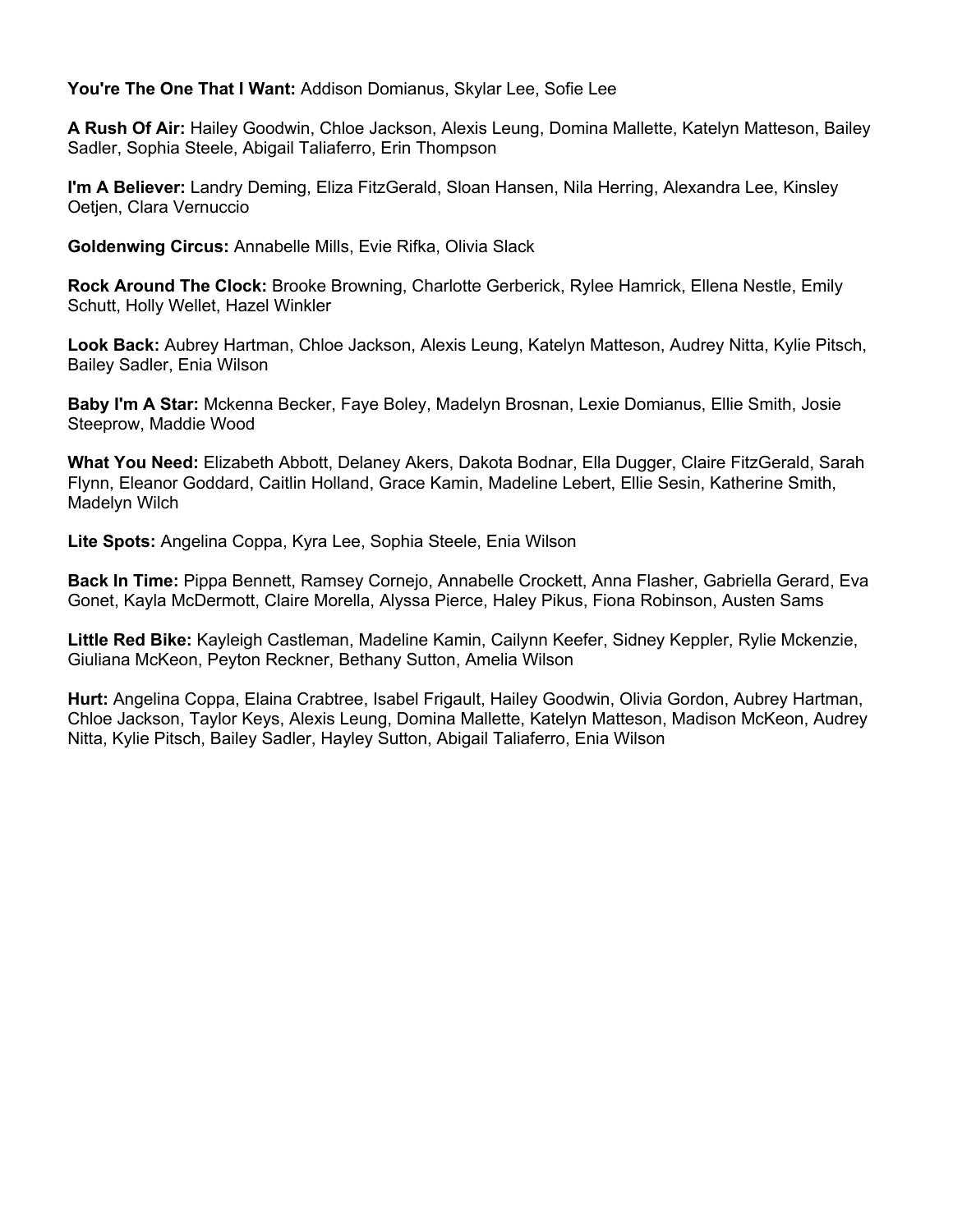#### **You're The One That I Want:** Addison Domianus, Skylar Lee, Sofie Lee

**A Rush Of Air:** Hailey Goodwin, Chloe Jackson, Alexis Leung, Domina Mallette, Katelyn Matteson, Bailey Sadler, Sophia Steele, Abigail Taliaferro, Erin Thompson

**I'm A Believer:** Landry Deming, Eliza FitzGerald, Sloan Hansen, Nila Herring, Alexandra Lee, Kinsley Oetjen, Clara Vernuccio

**Goldenwing Circus:** Annabelle Mills, Evie Rifka, Olivia Slack

**Rock Around The Clock:** Brooke Browning, Charlotte Gerberick, Rylee Hamrick, Ellena Nestle, Emily Schutt, Holly Wellet, Hazel Winkler

**Look Back:** Aubrey Hartman, Chloe Jackson, Alexis Leung, Katelyn Matteson, Audrey Nitta, Kylie Pitsch, Bailey Sadler, Enia Wilson

**Baby I'm A Star:** Mckenna Becker, Faye Boley, Madelyn Brosnan, Lexie Domianus, Ellie Smith, Josie Steeprow, Maddie Wood

**What You Need:** Elizabeth Abbott, Delaney Akers, Dakota Bodnar, Ella Dugger, Claire FitzGerald, Sarah Flynn, Eleanor Goddard, Caitlin Holland, Grace Kamin, Madeline Lebert, Ellie Sesin, Katherine Smith, Madelyn Wilch

**Lite Spots:** Angelina Coppa, Kyra Lee, Sophia Steele, Enia Wilson

**Back In Time:** Pippa Bennett, Ramsey Cornejo, Annabelle Crockett, Anna Flasher, Gabriella Gerard, Eva Gonet, Kayla McDermott, Claire Morella, Alyssa Pierce, Haley Pikus, Fiona Robinson, Austen Sams

**Little Red Bike:** Kayleigh Castleman, Madeline Kamin, Cailynn Keefer, Sidney Keppler, Rylie Mckenzie, Giuliana McKeon, Peyton Reckner, Bethany Sutton, Amelia Wilson

**Hurt:** Angelina Coppa, Elaina Crabtree, Isabel Frigault, Hailey Goodwin, Olivia Gordon, Aubrey Hartman, Chloe Jackson, Taylor Keys, Alexis Leung, Domina Mallette, Katelyn Matteson, Madison McKeon, Audrey Nitta, Kylie Pitsch, Bailey Sadler, Hayley Sutton, Abigail Taliaferro, Enia Wilson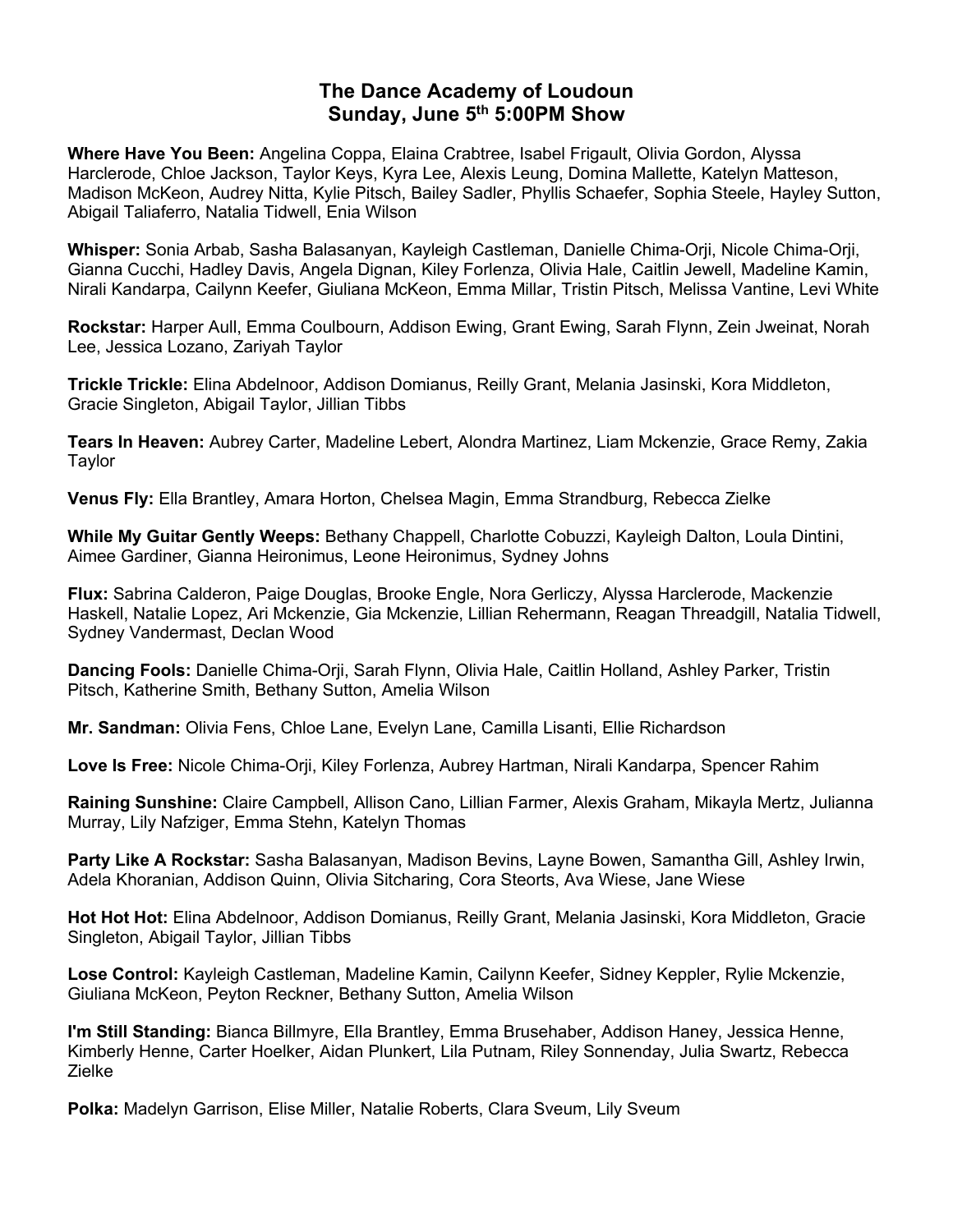## **The Dance Academy of Loudoun Sunday, June 5th 5:00PM Show**

**Where Have You Been:** Angelina Coppa, Elaina Crabtree, Isabel Frigault, Olivia Gordon, Alyssa Harclerode, Chloe Jackson, Taylor Keys, Kyra Lee, Alexis Leung, Domina Mallette, Katelyn Matteson, Madison McKeon, Audrey Nitta, Kylie Pitsch, Bailey Sadler, Phyllis Schaefer, Sophia Steele, Hayley Sutton, Abigail Taliaferro, Natalia Tidwell, Enia Wilson

**Whisper:** Sonia Arbab, Sasha Balasanyan, Kayleigh Castleman, Danielle Chima-Orji, Nicole Chima-Orji, Gianna Cucchi, Hadley Davis, Angela Dignan, Kiley Forlenza, Olivia Hale, Caitlin Jewell, Madeline Kamin, Nirali Kandarpa, Cailynn Keefer, Giuliana McKeon, Emma Millar, Tristin Pitsch, Melissa Vantine, Levi White

**Rockstar:** Harper Aull, Emma Coulbourn, Addison Ewing, Grant Ewing, Sarah Flynn, Zein Jweinat, Norah Lee, Jessica Lozano, Zariyah Taylor

**Trickle Trickle:** Elina Abdelnoor, Addison Domianus, Reilly Grant, Melania Jasinski, Kora Middleton, Gracie Singleton, Abigail Taylor, Jillian Tibbs

**Tears In Heaven:** Aubrey Carter, Madeline Lebert, Alondra Martinez, Liam Mckenzie, Grace Remy, Zakia **Taylor** 

**Venus Fly:** Ella Brantley, Amara Horton, Chelsea Magin, Emma Strandburg, Rebecca Zielke

**While My Guitar Gently Weeps:** Bethany Chappell, Charlotte Cobuzzi, Kayleigh Dalton, Loula Dintini, Aimee Gardiner, Gianna Heironimus, Leone Heironimus, Sydney Johns

**Flux:** Sabrina Calderon, Paige Douglas, Brooke Engle, Nora Gerliczy, Alyssa Harclerode, Mackenzie Haskell, Natalie Lopez, Ari Mckenzie, Gia Mckenzie, Lillian Rehermann, Reagan Threadgill, Natalia Tidwell, Sydney Vandermast, Declan Wood

**Dancing Fools:** Danielle Chima-Orji, Sarah Flynn, Olivia Hale, Caitlin Holland, Ashley Parker, Tristin Pitsch, Katherine Smith, Bethany Sutton, Amelia Wilson

**Mr. Sandman:** Olivia Fens, Chloe Lane, Evelyn Lane, Camilla Lisanti, Ellie Richardson

**Love Is Free:** Nicole Chima-Orji, Kiley Forlenza, Aubrey Hartman, Nirali Kandarpa, Spencer Rahim

**Raining Sunshine:** Claire Campbell, Allison Cano, Lillian Farmer, Alexis Graham, Mikayla Mertz, Julianna Murray, Lily Nafziger, Emma Stehn, Katelyn Thomas

**Party Like A Rockstar:** Sasha Balasanyan, Madison Bevins, Layne Bowen, Samantha Gill, Ashley Irwin, Adela Khoranian, Addison Quinn, Olivia Sitcharing, Cora Steorts, Ava Wiese, Jane Wiese

**Hot Hot Hot:** Elina Abdelnoor, Addison Domianus, Reilly Grant, Melania Jasinski, Kora Middleton, Gracie Singleton, Abigail Taylor, Jillian Tibbs

**Lose Control:** Kayleigh Castleman, Madeline Kamin, Cailynn Keefer, Sidney Keppler, Rylie Mckenzie, Giuliana McKeon, Peyton Reckner, Bethany Sutton, Amelia Wilson

**I'm Still Standing:** Bianca Billmyre, Ella Brantley, Emma Brusehaber, Addison Haney, Jessica Henne, Kimberly Henne, Carter Hoelker, Aidan Plunkert, Lila Putnam, Riley Sonnenday, Julia Swartz, Rebecca Zielke

**Polka:** Madelyn Garrison, Elise Miller, Natalie Roberts, Clara Sveum, Lily Sveum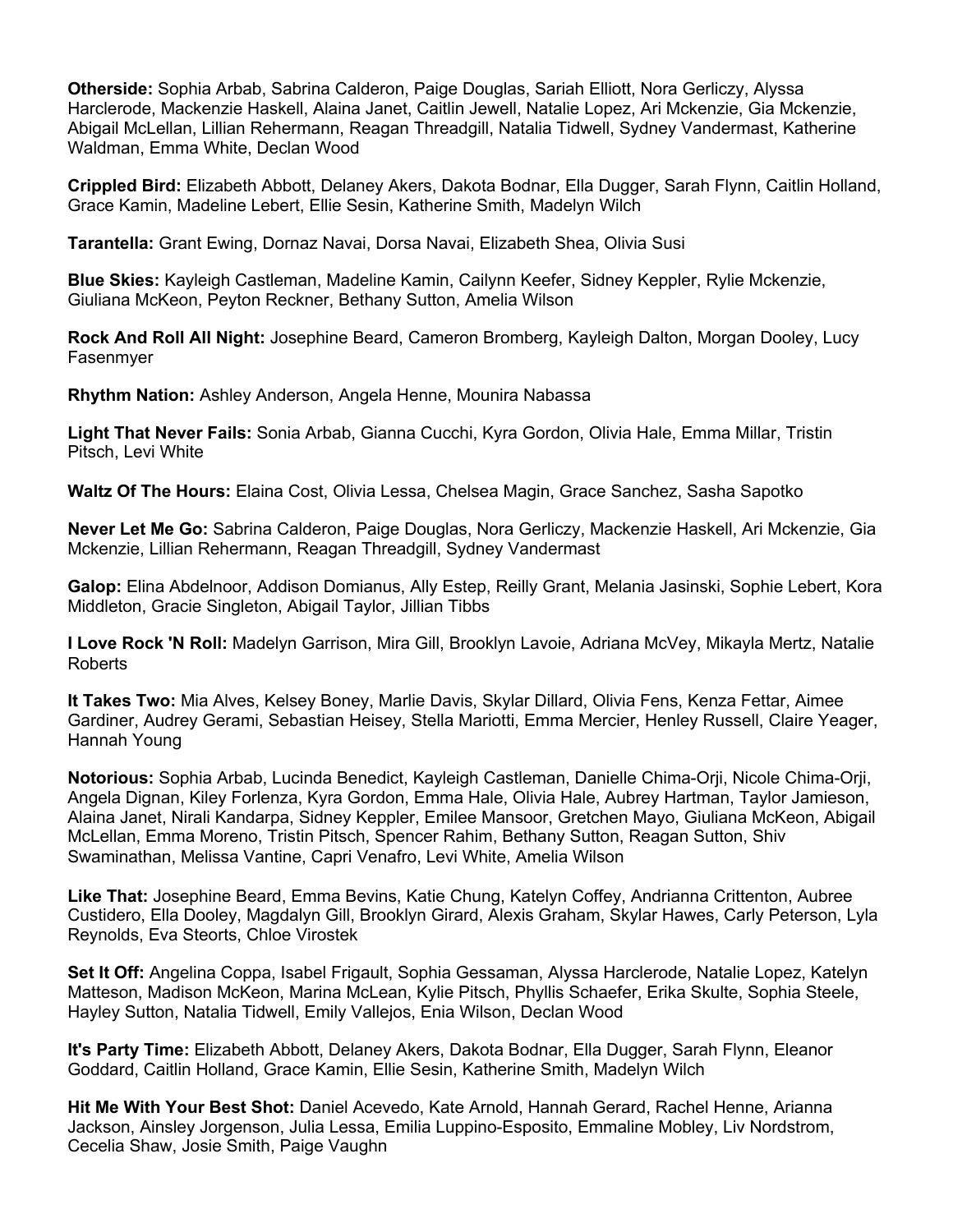**Otherside:** Sophia Arbab, Sabrina Calderon, Paige Douglas, Sariah Elliott, Nora Gerliczy, Alyssa Harclerode, Mackenzie Haskell, Alaina Janet, Caitlin Jewell, Natalie Lopez, Ari Mckenzie, Gia Mckenzie, Abigail McLellan, Lillian Rehermann, Reagan Threadgill, Natalia Tidwell, Sydney Vandermast, Katherine Waldman, Emma White, Declan Wood

**Crippled Bird:** Elizabeth Abbott, Delaney Akers, Dakota Bodnar, Ella Dugger, Sarah Flynn, Caitlin Holland, Grace Kamin, Madeline Lebert, Ellie Sesin, Katherine Smith, Madelyn Wilch

**Tarantella:** Grant Ewing, Dornaz Navai, Dorsa Navai, Elizabeth Shea, Olivia Susi

**Blue Skies:** Kayleigh Castleman, Madeline Kamin, Cailynn Keefer, Sidney Keppler, Rylie Mckenzie, Giuliana McKeon, Peyton Reckner, Bethany Sutton, Amelia Wilson

**Rock And Roll All Night:** Josephine Beard, Cameron Bromberg, Kayleigh Dalton, Morgan Dooley, Lucy Fasenmyer

**Rhythm Nation:** Ashley Anderson, Angela Henne, Mounira Nabassa

**Light That Never Fails:** Sonia Arbab, Gianna Cucchi, Kyra Gordon, Olivia Hale, Emma Millar, Tristin Pitsch, Levi White

**Waltz Of The Hours:** Elaina Cost, Olivia Lessa, Chelsea Magin, Grace Sanchez, Sasha Sapotko

**Never Let Me Go:** Sabrina Calderon, Paige Douglas, Nora Gerliczy, Mackenzie Haskell, Ari Mckenzie, Gia Mckenzie, Lillian Rehermann, Reagan Threadgill, Sydney Vandermast

**Galop:** Elina Abdelnoor, Addison Domianus, Ally Estep, Reilly Grant, Melania Jasinski, Sophie Lebert, Kora Middleton, Gracie Singleton, Abigail Taylor, Jillian Tibbs

**I Love Rock 'N Roll:** Madelyn Garrison, Mira Gill, Brooklyn Lavoie, Adriana McVey, Mikayla Mertz, Natalie Roberts

**It Takes Two:** Mia Alves, Kelsey Boney, Marlie Davis, Skylar Dillard, Olivia Fens, Kenza Fettar, Aimee Gardiner, Audrey Gerami, Sebastian Heisey, Stella Mariotti, Emma Mercier, Henley Russell, Claire Yeager, Hannah Young

**Notorious:** Sophia Arbab, Lucinda Benedict, Kayleigh Castleman, Danielle Chima-Orji, Nicole Chima-Orji, Angela Dignan, Kiley Forlenza, Kyra Gordon, Emma Hale, Olivia Hale, Aubrey Hartman, Taylor Jamieson, Alaina Janet, Nirali Kandarpa, Sidney Keppler, Emilee Mansoor, Gretchen Mayo, Giuliana McKeon, Abigail McLellan, Emma Moreno, Tristin Pitsch, Spencer Rahim, Bethany Sutton, Reagan Sutton, Shiv Swaminathan, Melissa Vantine, Capri Venafro, Levi White, Amelia Wilson

**Like That:** Josephine Beard, Emma Bevins, Katie Chung, Katelyn Coffey, Andrianna Crittenton, Aubree Custidero, Ella Dooley, Magdalyn Gill, Brooklyn Girard, Alexis Graham, Skylar Hawes, Carly Peterson, Lyla Reynolds, Eva Steorts, Chloe Virostek

**Set It Off:** Angelina Coppa, Isabel Frigault, Sophia Gessaman, Alyssa Harclerode, Natalie Lopez, Katelyn Matteson, Madison McKeon, Marina McLean, Kylie Pitsch, Phyllis Schaefer, Erika Skulte, Sophia Steele, Hayley Sutton, Natalia Tidwell, Emily Vallejos, Enia Wilson, Declan Wood

**It's Party Time:** Elizabeth Abbott, Delaney Akers, Dakota Bodnar, Ella Dugger, Sarah Flynn, Eleanor Goddard, Caitlin Holland, Grace Kamin, Ellie Sesin, Katherine Smith, Madelyn Wilch

**Hit Me With Your Best Shot:** Daniel Acevedo, Kate Arnold, Hannah Gerard, Rachel Henne, Arianna Jackson, Ainsley Jorgenson, Julia Lessa, Emilia Luppino-Esposito, Emmaline Mobley, Liv Nordstrom, Cecelia Shaw, Josie Smith, Paige Vaughn